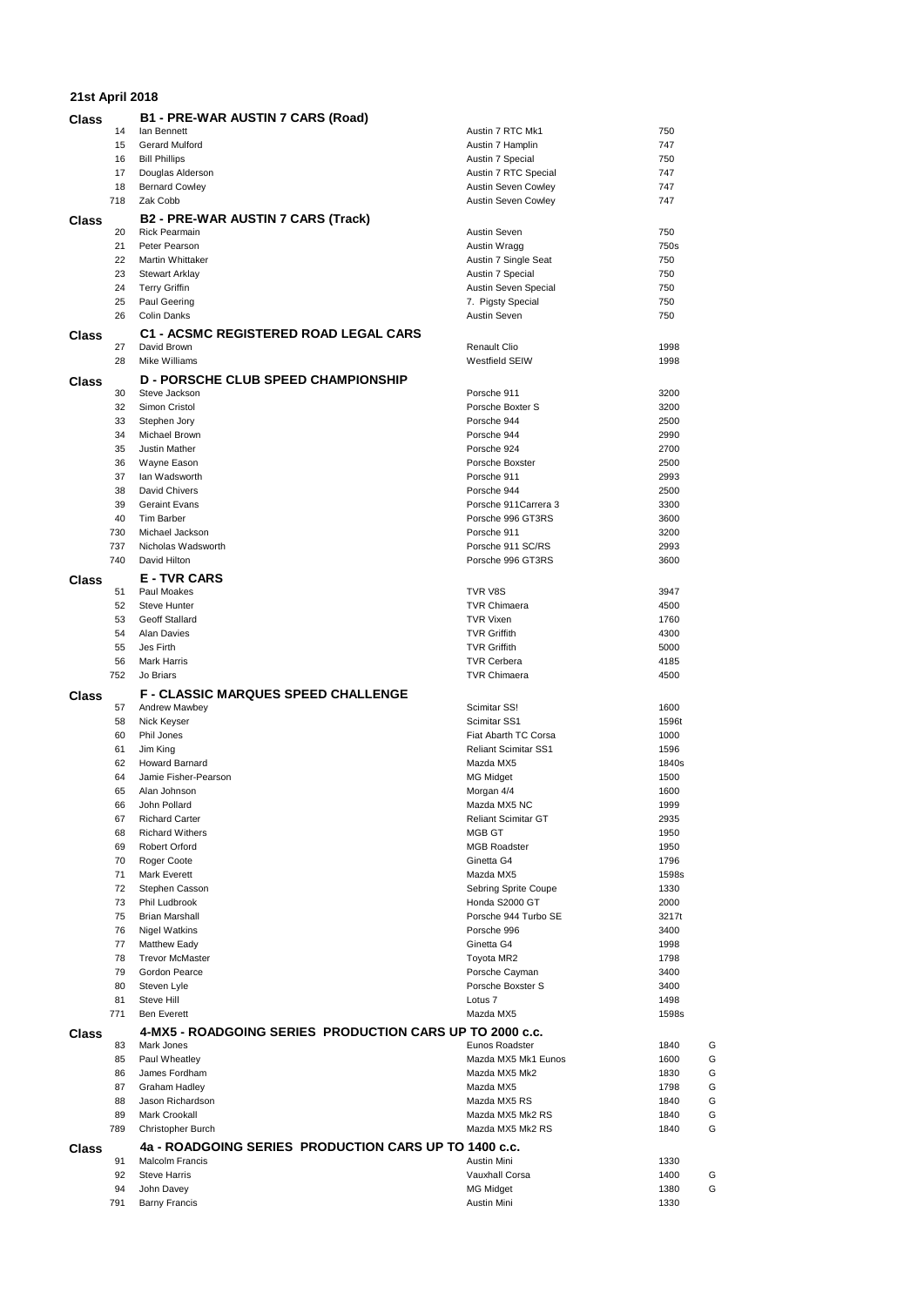| 21st April 2018 |          |                                                             |                                           |               |
|-----------------|----------|-------------------------------------------------------------|-------------------------------------------|---------------|
| <b>Class</b>    |          | <b>B1 - PRE-WAR AUSTIN 7 CARS (Road)</b>                    |                                           |               |
|                 | 14       | lan Bennett                                                 | Austin 7 RTC Mk1                          | 750           |
|                 | 15       | Gerard Mulford                                              | Austin 7 Hamplin                          | 747           |
|                 | 16       | <b>Bill Phillips</b>                                        | Austin 7 Special                          | 750           |
|                 | 17       | Douglas Alderson                                            | Austin 7 RTC Special                      | 747           |
|                 | 18       | <b>Bernard Cowley</b>                                       | Austin Seven Cowley                       | 747           |
|                 | 718      | Zak Cobb                                                    | <b>Austin Seven Cowley</b>                | 747           |
| Class           |          | <b>B2 - PRE-WAR AUSTIN 7 CARS (Track)</b>                   |                                           |               |
|                 | 20       | <b>Rick Pearmain</b>                                        | Austin Seven                              | 750           |
|                 | 21       | Peter Pearson                                               | Austin Wragg                              | 750s          |
|                 | 22       | Martin Whittaker                                            | Austin 7 Single Seat                      | 750           |
|                 | 23       | <b>Stewart Arklay</b>                                       | Austin 7 Special                          | 750           |
|                 | 24       | <b>Terry Griffin</b>                                        | Austin Seven Special                      | 750           |
|                 | 25<br>26 | Paul Geering<br><b>Colin Danks</b>                          | 7. Pigsty Special<br>Austin Seven         | 750<br>750    |
|                 |          |                                                             |                                           |               |
| <b>Class</b>    |          | <b>C1 - ACSMC REGISTERED ROAD LEGAL CARS</b><br>David Brown |                                           |               |
|                 | 27<br>28 | Mike Williams                                               | Renault Clio<br>Westfield SEIW            | 1998<br>1998  |
|                 |          |                                                             |                                           |               |
| Class           | 30       | <b>D - PORSCHE CLUB SPEED CHAMPIONSHIP</b><br>Steve Jackson | Porsche 911                               | 3200          |
|                 | 32       | Simon Cristol                                               | Porsche Boxter S                          | 3200          |
|                 | 33       | Stephen Jory                                                | Porsche 944                               | 2500          |
|                 | 34       | Michael Brown                                               | Porsche 944                               | 2990          |
|                 | 35       | Justin Mather                                               | Porsche 924                               | 2700          |
|                 | 36       | Wayne Eason                                                 | Porsche Boxster                           | 2500          |
|                 | 37       | lan Wadsworth                                               | Porsche 911                               | 2993          |
|                 | 38       | David Chivers                                               | Porsche 944                               | 2500          |
|                 | 39       | <b>Geraint Evans</b>                                        | Porsche 911 Carrera 3                     | 3300          |
|                 | 40       | <b>Tim Barber</b>                                           | Porsche 996 GT3RS                         | 3600          |
|                 | 730      | Michael Jackson                                             | Porsche 911                               | 3200          |
|                 | 737      | Nicholas Wadsworth                                          | Porsche 911 SC/RS                         | 2993          |
|                 | 740      | David Hilton                                                | Porsche 996 GT3RS                         | 3600          |
| Class           |          | <b>E-TVR CARS</b>                                           |                                           |               |
|                 | 51       | Paul Moakes                                                 | TVR V8S                                   | 3947          |
|                 | 52       | <b>Steve Hunter</b>                                         | <b>TVR Chimaera</b>                       | 4500          |
|                 | 53       | <b>Geoff Stallard</b>                                       | <b>TVR Vixen</b>                          | 1760          |
|                 | 54       | <b>Alan Davies</b>                                          | <b>TVR Griffith</b>                       | 4300          |
|                 | 55<br>56 | Jes Firth<br><b>Mark Harris</b>                             | <b>TVR Griffith</b><br><b>TVR Cerbera</b> | 5000<br>4185  |
|                 | 752      | Jo Briars                                                   | <b>TVR Chimaera</b>                       | 4500          |
|                 |          |                                                             |                                           |               |
| Class           |          | <b>F - CLASSIC MARQUES SPEED CHALLENGE</b>                  |                                           |               |
|                 | 57<br>58 | Andrew Mawbey<br>Nick Keyser                                | Scimitar SS!<br>Scimitar SS1              | 1600<br>1596t |
|                 | 60       | Phil Jones                                                  | Fiat Abarth TC Corsa                      | 1000          |
|                 | 61       | Jim King                                                    | <b>Reliant Scimitar SS1</b>               | 1596          |
|                 | 62       | <b>Howard Barnard</b>                                       | Mazda MX5                                 | 1840s         |
|                 | 64       | Jamie Fisher-Pearson                                        | <b>MG Midget</b>                          | 1500          |
|                 | 65       | Alan Johnson                                                | Morgan 4/4                                | 1600          |
|                 | 66       | John Pollard                                                | Mazda MX5 NC                              | 1999          |
|                 | 67       | <b>Richard Carter</b>                                       | <b>Reliant Scimitar GT</b>                | 2935          |
|                 | 68       | <b>Richard Withers</b>                                      | MGB GT                                    | 1950          |
|                 | 69       | Robert Orford                                               | <b>MGB Roadster</b>                       | 1950          |
|                 | 70       | Roger Coote                                                 | Ginetta G4                                | 1796          |
|                 | 71       | Mark Everett                                                | Mazda MX5                                 | 1598s         |
|                 | 72<br>73 | Stephen Casson<br>Phil Ludbrook                             | Sebring Sprite Coupe<br>Honda S2000 GT    | 1330<br>2000  |
|                 | 75       | <b>Brian Marshall</b>                                       | Porsche 944 Turbo SE                      | 3217t         |
|                 | 76       | Nigel Watkins                                               | Porsche 996                               | 3400          |
|                 | 77       | <b>Matthew Eady</b>                                         | Ginetta G4                                | 1998          |
|                 | 78       | <b>Trevor McMaster</b>                                      | Toyota MR2                                | 1798          |
|                 | 79       | Gordon Pearce                                               | Porsche Cayman                            | 3400          |
|                 | 80       | Steven Lyle                                                 | Porsche Boxster S                         | 3400          |
|                 | 81       | Steve Hill                                                  | Lotus <sub>7</sub>                        | 1498          |
|                 | 771      | <b>Ben Everett</b>                                          | Mazda MX5                                 | 1598s         |
| Class           |          | 4-MX5 - ROADGOING SERIES PRODUCTION CARS UP TO 2000 c.c.    |                                           |               |
|                 | 83       | Mark Jones                                                  | Eunos Roadster                            | 1840<br>G     |
|                 | 85       | Paul Wheatley                                               | Mazda MX5 Mk1 Eunos                       | 1600<br>G     |
|                 | 86       | James Fordham                                               | Mazda MX5 Mk2                             | G<br>1830     |
|                 | 87       | Graham Hadley                                               | Mazda MX5                                 | G<br>1798     |
|                 | 88       | Jason Richardson                                            | Mazda MX5 RS                              | G<br>1840     |
|                 | 89       | Mark Crookall                                               | Mazda MX5 Mk2 RS                          | G<br>1840     |
|                 | 789      | Christopher Burch                                           | Mazda MX5 Mk2 RS                          | G<br>1840     |
| Class           |          | 4a - ROADGOING SERIES PRODUCTION CARS UP TO 1400 c.c.       |                                           |               |
|                 | 91       | <b>Malcolm Francis</b>                                      | Austin Mini                               | 1330          |
|                 | 92       | <b>Steve Harris</b>                                         | Vauxhall Corsa                            | G<br>1400     |
|                 | 94       | John Davey                                                  | <b>MG Midget</b>                          | G<br>1380     |
|                 | 791      | <b>Barny Francis</b>                                        | Austin Mini                               | 1330          |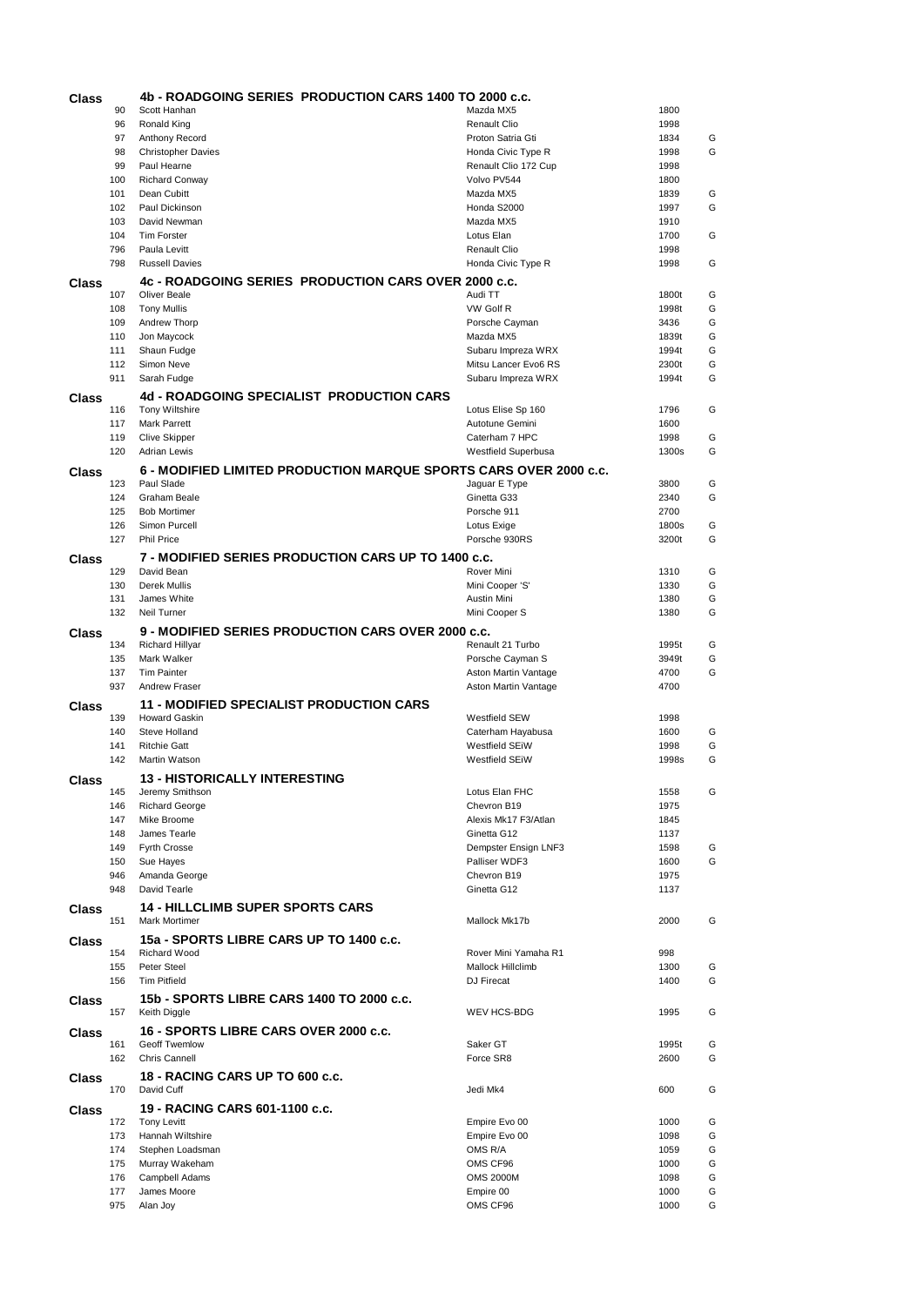| Class |            | 4b - ROADGOING SERIES PRODUCTION CARS 1400 TO 2000 c.c.           |                                     |              |        |
|-------|------------|-------------------------------------------------------------------|-------------------------------------|--------------|--------|
|       | 90         | Scott Hanhan                                                      | Mazda MX5                           | 1800         |        |
|       | 96         | Ronald King                                                       | <b>Renault Clio</b>                 | 1998         |        |
|       | 97         | Anthony Record                                                    | Proton Satria Gti                   | 1834         | G      |
|       | 98         | <b>Christopher Davies</b>                                         | Honda Civic Type R                  | 1998         | G      |
|       | 99<br>100  | Paul Hearne<br><b>Richard Conway</b>                              | Renault Clio 172 Cup<br>Volvo PV544 | 1998<br>1800 |        |
|       | 101        | Dean Cubitt                                                       | Mazda MX5                           | 1839         | G      |
|       | 102        | Paul Dickinson                                                    | Honda S2000                         | 1997         | G      |
|       | 103        | David Newman                                                      | Mazda MX5                           | 1910         |        |
|       | 104        | <b>Tim Forster</b>                                                | Lotus Elan                          | 1700         | G      |
|       | 796        | Paula Levitt                                                      | <b>Renault Clio</b>                 | 1998         |        |
|       | 798        | <b>Russell Davies</b>                                             | Honda Civic Type R                  | 1998         | G      |
| Class |            | <b>4c - ROADGOING SERIES PRODUCTION CARS OVER 2000 c.c.</b>       |                                     |              |        |
|       | 107        | <b>Oliver Beale</b>                                               | Audi TT                             | 1800t        | G      |
|       | 108        | <b>Tony Mullis</b>                                                | VW Golf R                           | 1998t        | G      |
|       | 109        | Andrew Thorp                                                      | Porsche Cayman                      | 3436         | G      |
|       | 110        | Jon Maycock                                                       | Mazda MX5                           | 1839t        | G      |
|       | 111        | Shaun Fudge                                                       | Subaru Impreza WRX                  | 1994t        | G      |
|       | 112        | Simon Neve                                                        | Mitsu Lancer Evo6 RS                | 2300t        | G      |
|       | 911        | Sarah Fudge                                                       | Subaru Impreza WRX                  | 1994t        | G      |
| Class |            | 4d - ROADGOING SPECIALIST PRODUCTION CARS                         |                                     |              |        |
|       | 116        | <b>Tony Wiltshire</b>                                             | Lotus Elise Sp 160                  | 1796         | G      |
|       | 117        | Mark Parrett                                                      | Autotune Gemini                     | 1600         |        |
|       | 119        | <b>Clive Skipper</b>                                              | Caterham 7 HPC                      | 1998         | G      |
|       | 120        | <b>Adrian Lewis</b>                                               | Westfield Superbusa                 | 1300s        | G      |
| Class |            | 6 - MODIFIED LIMITED PRODUCTION MARQUE SPORTS CARS OVER 2000 c.c. |                                     |              |        |
|       | 123        | Paul Slade                                                        | Jaguar E Type                       | 3800         | G      |
|       | 124        | Graham Beale                                                      | Ginetta G33                         | 2340         | G      |
|       | 125        | <b>Bob Mortimer</b>                                               | Porsche 911                         | 2700         |        |
|       | 126        | Simon Purcell                                                     | Lotus Exige                         | 1800s        | G      |
|       | 127        | <b>Phil Price</b>                                                 | Porsche 930RS                       | 3200t        | G      |
| Class |            | 7 - MODIFIED SERIES PRODUCTION CARS UP TO 1400 c.c.               |                                     |              |        |
|       | 129        | David Bean                                                        | Rover Mini                          | 1310         | G      |
|       | 130        | Derek Mullis                                                      | Mini Cooper 'S'                     | 1330         | G      |
|       | 131        | James White                                                       | Austin Mini                         | 1380         | G      |
|       | 132        | Neil Turner                                                       | Mini Cooper S                       | 1380         | G      |
| Class |            | <b>9 - MODIFIED SERIES PRODUCTION CARS OVER 2000 c.c.</b>         |                                     |              |        |
|       | 134        | <b>Richard Hillyar</b>                                            | Renault 21 Turbo                    | 1995t        | G      |
|       | 135        | Mark Walker                                                       | Porsche Cayman S                    | 3949t        | G      |
|       | 137        | <b>Tim Painter</b>                                                | Aston Martin Vantage                | 4700         | G      |
|       | 937        | <b>Andrew Fraser</b>                                              | Aston Martin Vantage                | 4700         |        |
|       |            | <b>11 - MODIFIED SPECIALIST PRODUCTION CARS</b>                   |                                     |              |        |
| Class | 139        | <b>Howard Gaskin</b>                                              | <b>Westfield SEW</b>                | 1998         |        |
|       | 140        | Steve Holland                                                     | Caterham Hayabusa                   | 1600         | G      |
|       | 141        | <b>Ritchie Gatt</b>                                               | <b>Westfield SEIW</b>               | 1998         | G      |
|       | 142        | Martin Watson                                                     | <b>Westfield SEiW</b>               | 1998s        | G      |
|       |            | <b>13 - HISTORICALLY INTERESTING</b>                              |                                     |              |        |
| Class | 145        | Jeremy Smithson                                                   | Lotus Elan FHC                      | 1558         | G      |
|       | 146        | <b>Richard George</b>                                             | Chevron B19                         | 1975         |        |
|       | 147        | Mike Broome                                                       | Alexis Mk17 F3/Atlan                | 1845         |        |
|       | 148        | James Tearle                                                      | Ginetta G12                         | 1137         |        |
|       | 149        | <b>Fyrth Crosse</b>                                               | Dempster Ensign LNF3                | 1598         | G      |
|       | 150        | Sue Hayes                                                         | Palliser WDF3                       | 1600         | G      |
|       | 946        | Amanda George                                                     | Chevron B19                         | 1975         |        |
|       | 948        | David Tearle                                                      | Ginetta G12                         | 1137         |        |
| Class |            | <b>14 - HILLCLIMB SUPER SPORTS CARS</b>                           |                                     |              |        |
|       | 151        | Mark Mortimer                                                     | Mallock Mk17b                       | 2000         | G      |
|       |            | 15a - SPORTS LIBRE CARS UP TO 1400 c.c.                           |                                     |              |        |
| Class | 154        | Richard Wood                                                      | Rover Mini Yamaha R1                | 998          |        |
|       | 155        | Peter Steel                                                       | Mallock Hillclimb                   | 1300         | G      |
|       | 156        | <b>Tim Pitfield</b>                                               | DJ Firecat                          | 1400         | G      |
|       |            |                                                                   |                                     |              |        |
| Class | 157        | 15b - SPORTS LIBRE CARS 1400 TO 2000 c.c.<br>Keith Diggle         | WEV HCS-BDG                         | 1995         | G      |
|       |            |                                                                   |                                     |              |        |
| Class |            | 16 - SPORTS LIBRE CARS OVER 2000 c.c.                             |                                     |              |        |
|       | 161        | Geoff Twemlow                                                     | Saker GT                            | 1995t        | G      |
|       | 162        | <b>Chris Cannell</b>                                              | Force SR8                           | 2600         | G      |
| Class |            | 18 - RACING CARS UP TO 600 c.c.                                   |                                     |              |        |
|       | 170        | David Cuff                                                        | Jedi Mk4                            | 600          | G      |
| Class |            | 19 - RACING CARS 601-1100 c.c.                                    |                                     |              |        |
|       | 172        | <b>Tony Levitt</b>                                                | Empire Evo 00                       | 1000         | G      |
|       | 173        | Hannah Wiltshire                                                  | Empire Evo 00                       | 1098         | G      |
|       | 174        | Stephen Loadsman                                                  | OMS R/A                             | 1059         | G      |
|       | 175        | Murray Wakeham                                                    | OMS CF96                            | 1000         | G      |
|       |            |                                                                   |                                     |              |        |
|       | 176        | Campbell Adams                                                    | <b>OMS 2000M</b>                    | 1098         | G      |
|       | 177<br>975 | James Moore<br>Alan Joy                                           | Empire 00<br>OMS CF96               | 1000<br>1000 | G<br>G |